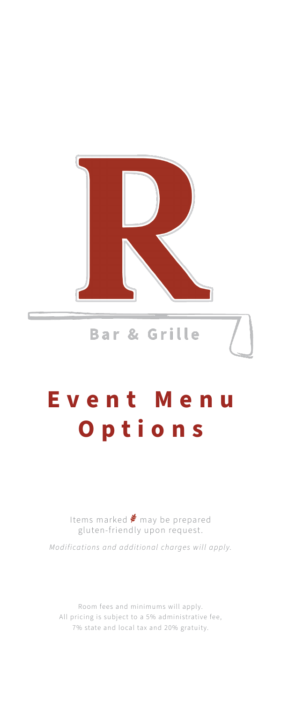

# Bar & Grille

# **Event Menu Options**

Items marked  $\clubsuit$  may be prepared gluten-friendly upon request.

*Modifications and additional charges will apply.* 

Room fees and minimums will apply. All pricing is subject to a 5% administrative fee, 7% state and local tax and 20% gratuity.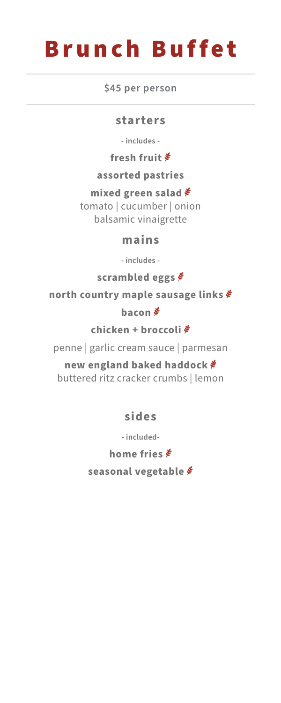# Brunch Buffet

**\$45 per person**

#### **starters**

**- includes -**

**fresh fruit** 

**assorted pastries**

**mixed green salad** tomato | cucumber | onion balsamic vinaigrette

### **mains**

**- includes -**

**scrambled eggs** 

**north country maple sausage links** 

**bacon** 

**chicken + broccoli**

penne | garlic cream sauce | parmesan

**new england baked haddock** buttered ritz cracker crumbs | lemon

**sides**

**- included-**

**home fries** 

**seasonal vegetable**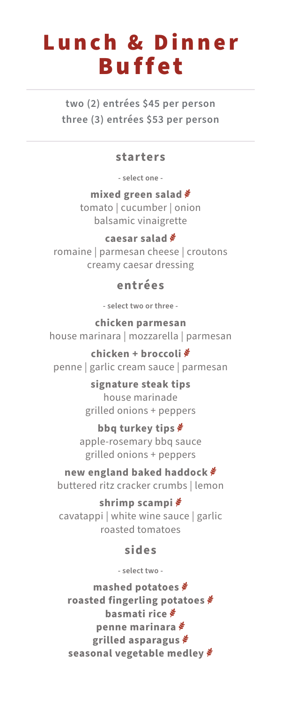# Lunch & Dinner Buffet

**two (2) entrées \$45 per person three (3) entrées \$53 per person**

#### **starters**

**- select one -**

**mixed green salad** tomato | cucumber | onion balsamic vinaigrette

## **caesar salad**

romaine | parmesan cheese | croutons creamy caesar dressing

## **entrées**

**- select two or three -**

**chicken parmesan** house marinara | mozzarella | parmesan

**chicken + broccoli** penne | garlic cream sauce | parmesan

> **signature steak tips** house marinade grilled onions + peppers

### **bbq turkey tips**

apple-rosemary bbq sauce grilled onions + peppers

# **new england baked haddock**

buttered ritz cracker crumbs | lemon

# **shrimp scampi**

cavatappi | white wine sauce | garlic roasted tomatoes

# **sides**

**- select two -**

**mashed potatoes roasted fingerling potatoes basmati rice penne marinara grilled asparagus seasonal vegetable medley**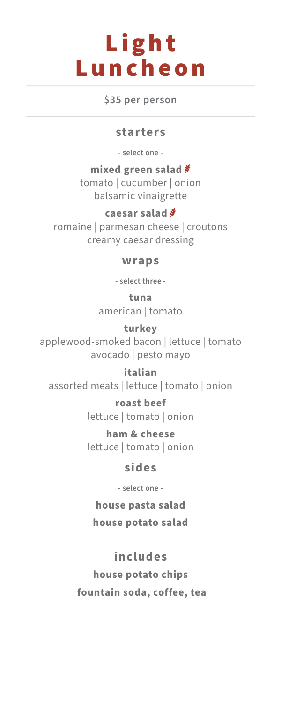# Light Luncheon

**\$35 per person**

### **starters**

**- select one -**

**mixed green salad** tomato | cucumber | onion balsamic vinaigrette

**caesar salad** romaine | parmesan cheese | croutons creamy caesar dressing

#### **wraps**

**- select three -**

**tuna** american | tomato

**turkey** applewood-smoked bacon | lettuce | tomato avocado | pesto mayo

**italian** assorted meats | lettuce | tomato | onion

> **roast beef** lettuce | tomato | onion

> **ham & cheese** lettuce | tomato | onion

## **sides**

**- select one -**

**house pasta salad**

**house potato salad**

# **includes**

**house potato chips fountain soda, coffee, tea**